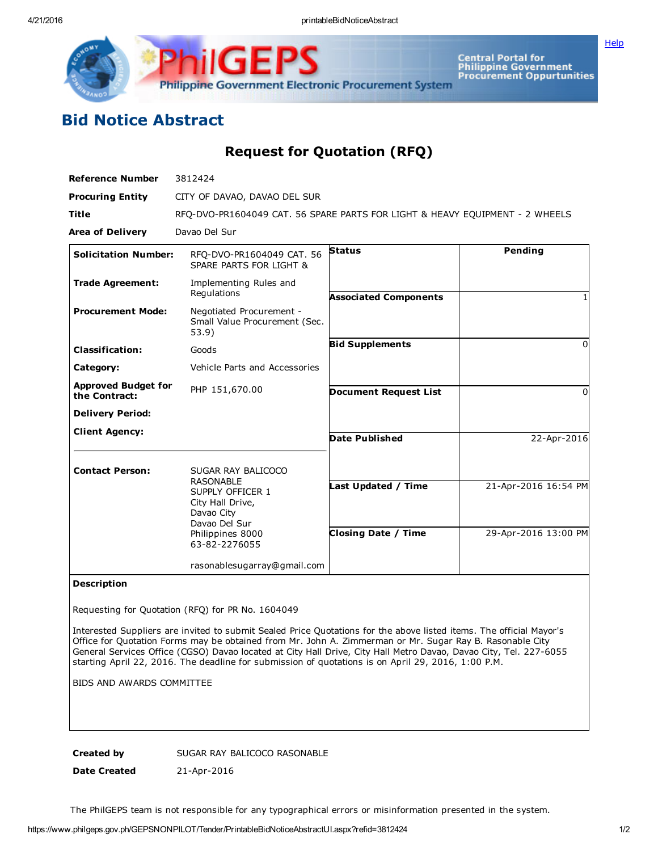Philippine Government Electronic Procurement System

Central Portal for<br>Philippine Government<br>Procurement Oppurtunities

**[Help](javascript:void(window.open()** 

## Bid Notice Abstract

Request for Quotation (RFQ)

| <b>Reference Number</b>                     | 3812424                                                                                                                                            |                                                   |                                              |
|---------------------------------------------|----------------------------------------------------------------------------------------------------------------------------------------------------|---------------------------------------------------|----------------------------------------------|
| <b>Procuring Entity</b>                     | CITY OF DAVAO, DAVAO DEL SUR                                                                                                                       |                                                   |                                              |
| Title                                       | RFQ-DVO-PR1604049 CAT. 56 SPARE PARTS FOR LIGHT & HEAVY EQUIPMENT - 2 WHEELS                                                                       |                                                   |                                              |
| <b>Area of Delivery</b>                     | Davao Del Sur                                                                                                                                      |                                                   |                                              |
| <b>Solicitation Number:</b>                 | RFQ-DVO-PR1604049 CAT. 56<br>SPARE PARTS FOR LIGHT &                                                                                               | <b>Status</b>                                     | Pending                                      |
| <b>Trade Agreement:</b>                     | Implementing Rules and<br>Regulations                                                                                                              | <b>Associated Components</b>                      |                                              |
| <b>Procurement Mode:</b>                    | Negotiated Procurement -<br>Small Value Procurement (Sec.<br>53.9)                                                                                 |                                                   |                                              |
| <b>Classification:</b>                      | Goods                                                                                                                                              | <b>Bid Supplements</b>                            | 0                                            |
| Category:                                   | Vehicle Parts and Accessories                                                                                                                      |                                                   |                                              |
| <b>Approved Budget for</b><br>the Contract: | PHP 151,670.00                                                                                                                                     | <b>Document Request List</b>                      | <sup>0</sup>                                 |
| <b>Delivery Period:</b>                     |                                                                                                                                                    |                                                   |                                              |
| <b>Client Agency:</b>                       |                                                                                                                                                    | Date Published                                    | 22-Apr-2016                                  |
| <b>Contact Person:</b>                      | SUGAR RAY BALICOCO<br><b>RASONABLE</b><br>SUPPLY OFFICER 1<br>City Hall Drive,<br>Davao City<br>Davao Del Sur<br>Philippines 8000<br>63-82-2276055 | Last Updated / Time<br><b>Closing Date / Time</b> | 21-Apr-2016 16:54 PM<br>29-Apr-2016 13:00 PM |
|                                             | rasonablesugarray@gmail.com                                                                                                                        |                                                   |                                              |

## Description

Requesting for Quotation (RFQ) for PR No. 1604049

Interested Suppliers are invited to submit Sealed Price Quotations for the above listed items. The official Mayor's Office for Quotation Forms may be obtained from Mr. John A. Zimmerman or Mr. Sugar Ray B. Rasonable City General Services Office (CGSO) Davao located at City Hall Drive, City Hall Metro Davao, Davao City, Tel. 227-6055 starting April 22, 2016. The deadline for submission of quotations is on April 29, 2016, 1:00 P.M.

BIDS AND AWARDS COMMITTEE

Created by SUGAR RAY BALICOCO RASONABLE

Date Created 21-Apr-2016

The PhilGEPS team is not responsible for any typographical errors or misinformation presented in the system.